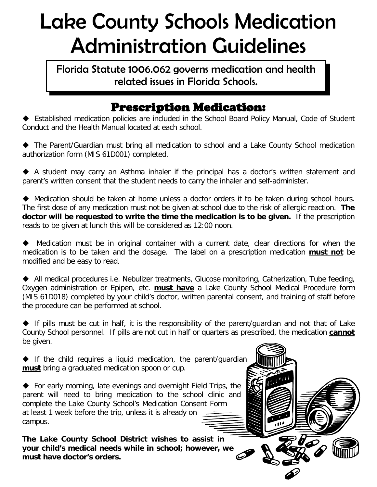## Lake County Schools Medication Administration Guidelines

Florida Statute 1006.062 governs medication and health related issues in Florida Schools.

## Prescription Medication:

 Established medication policies are included in the School Board Policy Manual, Code of Student Conduct and the Health Manual located at each school.

 The Parent/Guardian must bring all medication to school and a Lake County School medication authorization form (MIS 61D001) completed.

 A student may carry an Asthma inhaler if the principal has a doctor's written statement and parent's written consent that the student needs to carry the inhaler and self-administer.

 Medication should be taken at home unless a doctor orders it to be taken during school hours. The first dose of any medication must not be given at school due to the risk of allergic reaction. **The doctor will be requested to write the time the medication is to be given.** If the prescription reads to be given at lunch this will be considered as 12:00 noon.

 Medication must be in original container with a current date, clear directions for when the medication is to be taken and the dosage. The label on a prescription medication **must not** be modified and be easy to read.

 All medical procedures i.e. Nebulizer treatments, Glucose monitoring, Catherization, Tube feeding, Oxygen administration or Epipen, etc. **must have** a Lake County School Medical Procedure form (MIS 61D018) completed by your child's doctor, written parental consent, and training of staff before the procedure can be performed at school.

If pills must be cut in half, it is the responsibility of the parent/quardian and not that of Lake County School personnel. If pills are not cut in half or quarters as prescribed, the medication **cannot** be given.

 $\blacklozenge$  If the child requires a liquid medication, the parent/quardian **must** bring a graduated medication spoon or cup.

 For early morning, late evenings and overnight Field Trips, the parent will need to bring medication to the school clinic and complete the Lake County School's Medication Consent Form at least 1 week before the trip, unless it is already on campus.

**The Lake County School District wishes to assist in your child's medical needs while in school; however, we must have doctor's orders.**